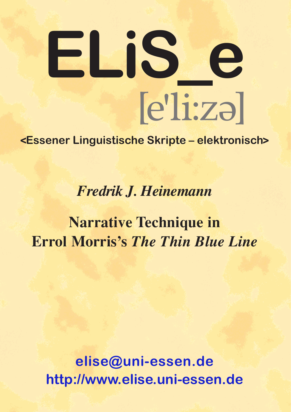# $[e']$ i:zə $]$ **ELiS \_ e**

### **<Essener Linguistische Skripte – elektronisch>**

*Fredrik J. Heinemann*

## **Narrative Technique in Errol Morris's** *The Thin Blue Line*

**[elise@uni-essen.de](mailto:elise@uni-essen.de) <http://www.elise.uni-essen.de>**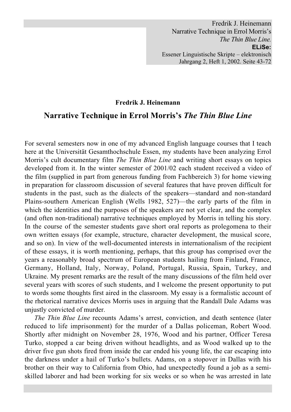Fredrik J. Heinemann Narrative Technique in Errol Morris's *The Thin Blue Line.* **ELiSe:** Essener Linguistische Skripte – elektronisch Jahrgang 2, Heft 1, 2002. Seite 43-72

#### **Fredrik J. Heinemann**

#### **Narrative Technique in Errol Morris's** *The Thin Blue Line*

For several semesters now in one of my advanced English language courses that I teach here at the Universität Gesamthochschule Essen, my students have been analyzing Errol Morris's cult documentary film *The Thin Blue Line* and writing short essays on topics developed from it. In the winter semester of 2001/02 each student received a video of the film (supplied in part from generous funding from Fachbereich 3) for home viewing in preparation for classroom discussion of several features that have proven difficult for students in the past, such as the dialects of the speakers—standard and non-standard Plains-southern American English (Wells 1982, 527)—the early parts of the film in which the identities and the purposes of the speakers are not yet clear, and the complex (and often non-traditional) narrative techniques employed by Morris in telling his story. In the course of the semester students gave short oral reports as prolegomena to their own written essays (for example, structure, character development, the musical score, and so on). In view of the well-documented interests in internationalism of the recipient of these essays, it is worth mentioning, perhaps, that this group has comprised over the years a reasonably broad spectrum of European students hailing from Finland, France, Germany, Holland, Italy, Norway, Poland, Portugal, Russia, Spain, Turkey, and Ukraine. My present remarks are the result of the many discussions of the film held over several years with scores of such students, and I welcome the present opportunity to put to words some thoughts first aired in the classroom. My essay is a formalistic account of the rhetorical narrative devices Morris uses in arguing that the Randall Dale Adams was unjustly convicted of murder.

*The Thin Blue Line* recounts Adams's arrest, conviction, and death sentence (later reduced to life imprisonment) for the murder of a Dallas policeman, Robert Wood. Shortly after midnight on November 28, 1976, Wood and his partner, Officer Teresa Turko, stopped a car being driven without headlights, and as Wood walked up to the driver five gun shots fired from inside the car ended his young life, the car escaping into the darkness under a hail of Turko's bullets. Adams, on a stopover in Dallas with his brother on their way to California from Ohio, had unexpectedly found a job as a semiskilled laborer and had been working for six weeks or so when he was arrested in late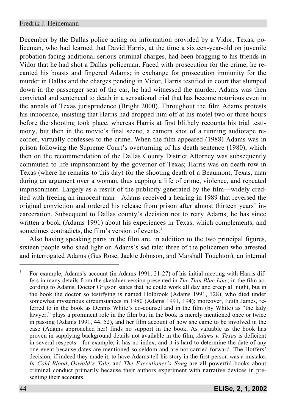December by the Dallas police acting on information provided by a Vidor, Texas, policeman, who had learned that David Harris, at the time a sixteen-year-old on juvenile probation facing additional serious criminal charges, had been bragging to his friends in Vidor that he had shot a Dallas policeman. Faced with prosecution for the crime, he recanted his boasts and fingered Adams; in exchange for prosecution immunity for the murder in Dallas and the charges pending in Vidor, Harris testified in court that slumped down in the passenger seat of the car, he had witnessed the murder. Adams was then convicted and sentenced to death in a sensational trial that has become notorious even in the annals of Texas jurisprudence (Bright 2000). Throughout the film Adams protests his innocence, insisting that Harris had dropped him off at his motel two or three hours before the shooting took place, whereas Harris at first blithely recounts his trial testimony, but then in the movie's final scene, a camera shot of a running audiotape recorder, virtually confesses to the crime. When the film appeared (1988) Adams was in prison following the Supreme Court's overturning of his death sentence (1980), which then on the recommendation of the Dallas County District Attorney was subsequently commuted to life imprisonment by the governor of Texas; Harris was on death row in Texas (where he remains to this day) for the shooting death of a Beaumont, Texas, man during an argument over a woman, thus capping a life of crime, violence, and repeated imprisonment. Largely as a result of the publicity generated by the film—widely credited with freeing an innocent man—Adams received a hearing in 1989 that reversed the original conviction and ordered his release from prison after almost thirteen years' incarceration. Subsequent to Dallas county's decision not to retry Adams, he has since written a book (Adams 1991) about his experiences in Texas, which complements, and sometimes contradicts, the film's version of events. $<sup>1</sup>$ </sup>

Also having speaking parts in the film are, in addition to the two principal figures, sixteen people who shed light on Adams's sad tale: three of the policemen who arrested and interrogated Adams (Gus Rose, Jackie Johnson, and Marshall Touchton), an internal

<sup>&</sup>lt;sup>1</sup> For example, Adams's account (in Adams 1991, 21-27) of his initial meeting with Harris differs in many details from the sketchier version presented in *The Thin Blue Line*; in the film according to Adams, Doctor Grigson states that he could work all day and creep all night, but in the book the doctor so testifying is named Holbrook (Adams 1991, 128), who died under somewhat mysterious circumstances in 1980 (Adams 1991, 194); moreover, Edith James, referred to in the book as Dennis White's co-counsel and in the film (by White) as "the lady lawyer," plays a prominent role in the film but in the book is merely mentioned once or twice in passing (Adams 1991, 44, 52), and her film account of how she came to be involved in the case (Adams approached her) finds no support in the book. As valuable as the book has proven in supplying background details not available in the film, *Adams v. Texas* is deficient in several respects—for example, it has no index, and it is hard to determine the date of any one event because dates are mentioned so seldom and are not carried forward. The Hoffers' decision, if indeed they made it, to have Adams tell his story in the first person was a mistake. *In Cold Blood*, *Oswald's Tale*, and *The Executioner's Song* are all powerful books about criminal conduct primarily because their authors experiment with narrative devices in presenting their accounts.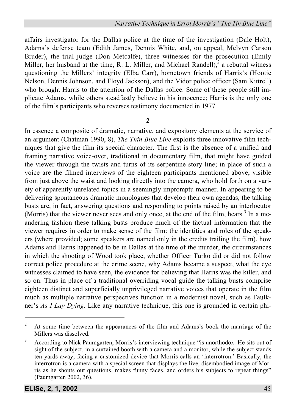affairs investigator for the Dallas police at the time of the investigation (Dale Holt), Adams's defense team (Edith James, Dennis White, and, on appeal, Melvyn Carson Bruder), the trial judge (Don Metcalfe), three witnesses for the prosecution (Emily Miller, her husband at the time, R. L. Miller, and Michael Randell), $^2$  a rebuttal witness questioning the Millers' integrity (Elba Carr), hometown friends of Harris's (Hootie Nelson, Dennis Johnson, and Floyd Jackson), and the Vidor police officer (Sam Kittrell) who brought Harris to the attention of the Dallas police. Some of these people still implicate Adams, while others steadfastly believe in his innocence; Harris is the only one of the film's participants who reverses testimony documented in 1977.

**2**

In essence a composite of dramatic, narrative, and expository elements at the service of an argument (Chatman 1990, 8), *The Thin Blue Line* exploits three innovative film techniques that give the film its special character. The first is the absence of a unified and framing narrative voice-over, traditional in documentary film, that might have guided the viewer through the twists and turns of its serpentine story line; in place of such a voice are the filmed interviews of the eighteen participants mentioned above, visible from just above the waist and looking directly into the camera, who hold forth on a variety of apparently unrelated topics in a seemingly impromptu manner. In appearing to be delivering spontaneous dramatic monologues that develop their own agendas, the talking busts are, in fact, answering questions and responding to points raised by an interlocutor (Morris) that the viewer never sees and only once, at the end of the film, hears.<sup>3</sup> In a meandering fashion these talking busts produce much of the factual information that the viewer requires in order to make sense of the film: the identities and roles of the speakers (where provided; some speakers are named only in the credits trailing the film), how Adams and Harris happened to be in Dallas at the time of the murder, the circumstances in which the shooting of Wood took place, whether Officer Turko did or did not follow correct police procedure at the crime scene, why Adams became a suspect, what the eye witnesses claimed to have seen, the evidence for believing that Harris was the killer, and so on. Thus in place of a traditional overriding vocal guide the talking busts comprise eighteen distinct and superficially unprivileged narrative voices that operate in the film much as multiple narrative perspectives function in a modernist novel, such as Faulkner's *As I Lay Dying*. Like any narrative technique, this one is grounded in certain phi-

<sup>&</sup>lt;sup>2</sup> At some time between the appearances of the film and Adams's book the marriage of the Millers was dissolved.

 $3$  According to Nick Paumgarten, Morris's interviewing technique "is unorthodox. He sits out of sight of the subject, in a curtained booth with a camera and a monitor, while the subject stands ten yards away, facing a customized device that Morris calls an 'interrotron.' Basically, the interrotron is a camera with a special screen that displays the live, disembodied image of Morris as he shouts out questions, makes funny faces, and orders his subjects to repeat things" (Paumgarten 2002, 36).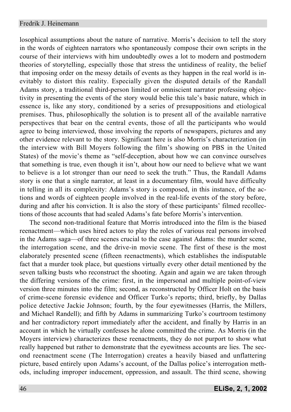losophical assumptions about the nature of narrative. Morris's decision to tell the story in the words of eighteen narrators who spontaneously compose their own scripts in the course of their interviews with him undoubtedly owes a lot to modern and postmodern theories of storytelling, especially those that stress the untidiness of reality, the belief that imposing order on the messy details of events as they happen in the real world is inevitably to distort this reality. Especially given the disputed details of the Randall Adams story, a traditional third-person limited or omniscient narrator professing objectivity in presenting the events of the story would belie this tale's basic nature, which in essence is, like any story, conditioned by a series of presuppositions and etiological premises. Thus, philosophically the solution is to present all of the available narrative perspectives that bear on the central events, those of all the participants who would agree to being interviewed, those involving the reports of newspapers, pictures and any other evidence relevant to the story. Significant here is also Morris's characterization (in the interview with Bill Moyers following the film's showing on PBS in the United States) of the movie's theme as "self-deception, about how we can convince ourselves that something is true, even though it isn't, about how our need to believe what we want to believe is a lot stronger than our need to seek the truth." Thus, the Randall Adams story is one that a single narrator, at least in a documentary film, would have difficulty in telling in all its complexity: Adams's story is composed, in this instance, of the actions and words of eighteen people involved in the real-life events of the story before, during and after his conviction. It is also the story of these participants' filmed recollections of those accounts that had sealed Adams's fate before Morris's intervention.

The second non-traditional feature that Morris introduced into the film is the biased reenactment—which uses hired actors to play the roles of various real persons involved in the Adams saga—of three scenes crucial to the case against Adams: the murder scene, the interrogation scene, and the drive-in movie scene. The first of these is the most elaborately presented scene (fifteen reenactments), which establishes the indisputable fact that a murder took place, but questions virtually every other detail mentioned by the seven talking busts who reconstruct the shooting. Again and again we are taken through the differing versions of the crime: first, in the impersonal and multiple point-of-view version three minutes into the film; second, as reconstructed by Officer Holt on the basis of crime-scene forensic evidence and Officer Turko's reports; third, briefly, by Dallas police detective Jackie Johnson; fourth, by the four eyewitnesses (Harris, the Millers, and Michael Randell); and fifth by Adams in summarizing Turko's courtroom testimony and her contradictory report immediately after the accident, and finally by Harris in an account in which he virtually confesses he alone committed the crime. As Morris (in the Moyers interview) characterizes these reenactments, they do not purport to show what really happened but rather to demonstrate that the eyewitness accounts are lies. The second reenactment scene (The Interrogation) creates a heavily biased and unflattering picture, based entirely upon Adams's account, of the Dallas police's interrogation methods, including improper inducement, oppression, and assault. The third scene, showing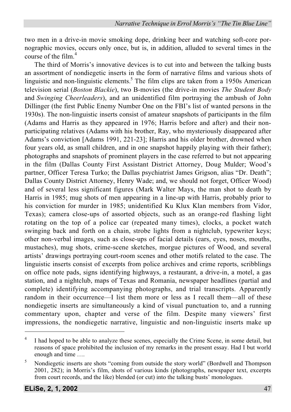two men in a drive-in movie smoking dope, drinking beer and watching soft-core pornographic movies, occurs only once, but is, in addition, alluded to several times in the course of the  $film<sup>4</sup>$ 

The third of Morris's innovative devices is to cut into and between the talking busts an assortment of nondiegetic inserts in the form of narrative films and various shots of linguistic and non-linguistic elements.<sup>5</sup> The film clips are taken from a 1950s American television serial (*Boston Blackie*), two B-movies (the drive-in movies *The Student Body* and *Swinging Cheerleaders*), and an unidentified film portraying the ambush of John Dillinger (the first Public Enemy Number One on the FBI's list of wanted persons in the 1930s). The non-linguistic inserts consist of amateur snapshots of participants in the film (Adams and Harris as they appeared in 1976; Harris before and after) and their nonparticipating relatives (Adams with his brother, Ray, who mysteriously disappeared after Adams's conviction [Adams 1991, 221-23]; Harris and his older brother, drowned when four years old, as small children, and in one snapshot happily playing with their father); photographs and snapshots of prominent players in the case referred to but not appearing in the film (Dallas County First Assistant District Attorney, Doug Mulder; Wood's partner, Officer Teresa Turko; the Dallas psychiatrist James Grigson, alias "Dr. Death"; Dallas County District Attorney, Henry Wade; and, we should not forget, Officer Wood) and of several less significant figures (Mark Walter Mays, the man shot to death by Harris in 1985; mug shots of men appearing in a line-up with Harris, probably prior to his conviction for murder in 1985; unidentified Ku Klux Klan members from Vidor, Texas); camera close-ups of assorted objects, such as an orange-red flashing light rotating on the top of a police car (repeated many times), clocks, a pocket watch swinging back and forth on a chain, strobe lights from a nightclub, typewriter keys; other non-verbal images, such as close-ups of facial details (ears, eyes, noses, mouths, mustaches), mug shots, crime-scene sketches, morgue pictures of Wood, and several artists' drawings portraying court-room scenes and other motifs related to the case. The linguistic inserts consist of excerpts from police archives and crime reports, scribblings on office note pads, signs identifying highways, a restaurant, a drive-in, a motel, a gas station, and a nightclub, maps of Texas and Romania, newspaper headlines (partial and complete) identifying accompanying photographs, and trial transcripts. Apparently random in their occurrence—I list them more or less as I recall them—all of these nondiegetic inserts are simultaneously a kind of visual punctuation to, and a running commentary upon, chapter and verse of the film. Despite many viewers' first impressions, the nondiegetic narrative, linguistic and non-linguistic inserts make up

<sup>&</sup>lt;sup>4</sup> I had hoped to be able to analyze these scenes, especially the Crime Scene, in some detail, but reasons of space prohibited the inclusion of my remarks in the present essay. Had I but world enough and time ….

 $5$  Nondiegetic inserts are shots "coming from outside the story world" (Bordwell and Thompson 2001, 282); in Morris's film, shots of various kinds (photographs, newspaper text, excerpts from court records, and the like) blended (or cut) into the talking busts' monologues.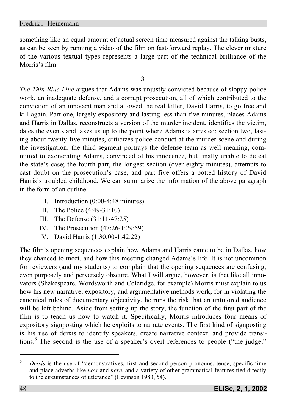something like an equal amount of actual screen time measured against the talking busts, as can be seen by running a video of the film on fast-forward replay. The clever mixture of the various textual types represents a large part of the technical brilliance of the Morris's film.

#### **3**

*The Thin Blue Line* argues that Adams was unjustly convicted because of sloppy police work, an inadequate defense, and a corrupt prosecution, all of which contributed to the conviction of an innocent man and allowed the real killer, David Harris, to go free and kill again. Part one, largely expository and lasting less than five minutes, places Adams and Harris in Dallas, reconstructs a version of the murder incident, identifies the victim, dates the events and takes us up to the point where Adams is arrested; section two, lasting about twenty-five minutes, criticizes police conduct at the murder scene and during the investigation; the third segment portrays the defense team as well meaning, committed to exonerating Adams, convinced of his innocence, but finally unable to defeat the state's case; the fourth part, the longest section (over eighty minutes), attempts to cast doubt on the prosecution's case, and part five offers a potted history of David Harris's troubled childhood. We can summarize the information of the above paragraph in the form of an outline:

- I. Introduction (0:00-4:48 minutes)
- II. The Police (4:49-31:10)
- III. The Defense (31:11-47:25)
- IV. The Prosecution (47:26-1:29:59)
- V. David Harris (1:30:00-1:42:22)

The film's opening sequences explain how Adams and Harris came to be in Dallas, how they chanced to meet, and how this meeting changed Adams's life. It is not uncommon for reviewers (and my students) to complain that the opening sequences are confusing, even purposely and perversely obscure. What I will argue, however, is that like all innovators (Shakespeare, Wordsworth and Coleridge, for example) Morris must explain to us how his new narrative, expository, and argumentative methods work, for in violating the canonical rules of documentary objectivity, he runs the risk that an untutored audience will be left behind. Aside from setting up the story, the function of the first part of the film is to teach us how to watch it. Specifically, Morris introduces four means of expository signposting which he exploits to narrate events. The first kind of signposting is his use of deixis to identify speakers, create narrative context, and provide transitions.<sup>6</sup> The second is the use of a speaker's overt references to people ("the judge,"

<sup>6</sup> *Deixis* is the use of "demonstratives, first and second person pronouns, tense, specific time and place adverbs like *now* and *here*, and a variety of other grammatical features tied directly to the circumstances of utterance" (Levinson 1983, 54).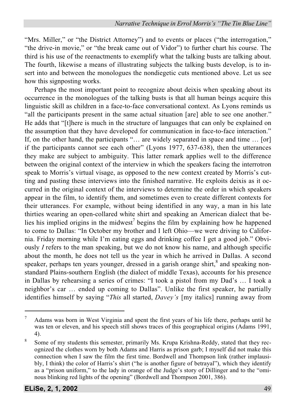"Mrs. Miller," or "the District Attorney") and to events or places ("the interrogation," "the drive-in movie," or "the break came out of Vidor") to further chart his course. The third is his use of the reenactments to exemplify what the talking busts are talking about. The fourth, likewise a means of illustrating subjects the talking busts develop, is to insert into and between the monologues the nondiegetic cuts mentioned above. Let us see how this signposting works.

Perhaps the most important point to recognize about deixis when speaking about its occurrence in the monologues of the talking busts is that all human beings acquire this linguistic skill as children in a face-to-face conversational context. As Lyons reminds us "all the participants present in the same actual situation [are] able to see one another." He adds that "[t]here is much in the structure of languages that can only be explained on the assumption that they have developed for communication in face-to-face interaction." If, on the other hand, the participants "… are widely separated in space and time … [or] if the participants cannot see each other" (Lyons 1977, 637-638), then the utterances they make are subject to ambiguity. This latter remark applies well to the difference between the original context of the interview in which the speakers facing the interrotron speak to Morris's virtual visage, as opposed to the new context created by Morris's cutting and pasting these interviews into the finished narrative. He exploits deixis as it occurred in the original context of the interviews to determine the order in which speakers appear in the film, to identify them, and sometimes even to create different contexts for their utterances. For example, without being identified in any way, a man in his late thirties wearing an open-collared white shirt and speaking an American dialect that belies his implied origins in the midwest<sup>7</sup> begins the film by explaining how he happened to come to Dallas: "In October my brother and I left Ohio—we were driving to California. Friday morning while I'm eating eggs and drinking coffee I get a good job." Obviously *I* refers to the man speaking, but we do not know his name, and although specific about the month, he does not tell us the year in which he arrived in Dallas. A second speaker, perhaps ten years younger, dressed in a garish orange shirt,  $^8$  and speaking nonstandard Plains-southern English (the dialect of middle Texas), accounts for his presence in Dallas by rehearsing a series of crimes: "I took a pistol from my Dad's … I took a neighbor's car … ended up coming to Dallas". Unlike the first speaker, he partially identifies himself by saying "*This* all started, *Davey's* [my italics] running away from

 $<sup>7</sup>$  Adams was born in West Virginia and spent the first years of his life there, perhaps until he</sup> was ten or eleven, and his speech still shows traces of this geographical origins (Adams 1991, 4).

<sup>&</sup>lt;sup>8</sup> Some of my students this semester, primarily Ms. Krupa Krishna-Reddy, stated that they recognized the clothes worn by both Adams and Harris as prison garb; I myself did not make this connection when I saw the film the first time. Bordwell and Thompson link (rather implausibly, I think) the color of Harris's shirt ("he is another figure of betrayal"), which they identify as a "prison uniform," to the lady in orange of the Judge's story of Dillinger and to the "ominous blinking red lights of the opening" (Bordwell and Thompson 2001, 386).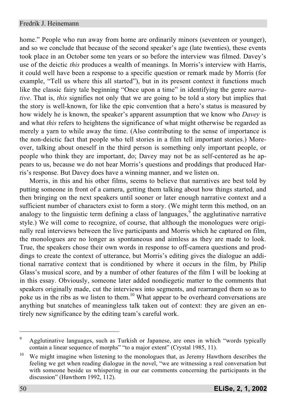#### Fredrik J. Heinemann

home." People who run away from home are ordinarily minors (seventeen or younger), and so we conclude that because of the second speaker's age (late twenties), these events took place in an October some ten years or so before the interview was filmed. Davey's use of the deictic *this* produces a wealth of meanings. In Morris's interview with Harris, it could well have been a response to a specific question or remark made by Morris (for example, "Tell us where this all started"), but in its present context it functions much like the classic fairy tale beginning "Once upon a time" in identifying the genre *narrative*. That is, *this* signifies not only that we are going to be told a story but implies that the story is well-known, for like the epic convention that a hero's status is measured by how widely he is known, the speaker's apparent assumption that we know who *Davey* is and what *this* refers to heightens the significance of what might otherwise be regarded as merely a yarn to while away the time. (Also contributing to the sense of importance is the non-deictic fact that people who tell stories in a film tell important stories.) Moreover, talking about oneself in the third person is something only important people, or people who think they are important, do; Davey may not be as self-centered as he appears to us, because we do not hear Morris's questions and proddings that produced Harris's response. But Davey does have a winning manner, and we listen on.

Morris, in this and his other films, seems to believe that narratives are best told by putting someone in front of a camera, getting them talking about how things started, and then bringing on the next speakers until sooner or later enough narrative context and a sufficient number of characters exist to form a story. (We might term this method, on an analogy to the linguistic term defining a class of languages,  $\degree$  the agglutinative narrative style.) We will come to recognize, of course, that although the monologues were originally real interviews between the live participants and Morris which he captured on film, the monologues are no longer as spontaneous and aimless as they are made to look. True, the speakers chose their own words in response to off-camera questions and proddings to create the context of utterance, but Morris's editing gives the dialogue an additional narrative context that is conditioned by where it occurs in the film, by Philip Glass's musical score, and by a number of other features of the film I will be looking at in this essay. Obviously, someone later added nondiegetic matter to the comments that speakers originally made, cut the interviews into segments, and rearranged them so as to poke us in the ribs as we listen to them.<sup>10</sup> What appear to be overheard conversations are anything but snatches of meaningless talk taken out of context: they are given an entirely new significance by the editing team's careful work.

<sup>&</sup>lt;sup>9</sup> Agglutinative languages, such as Turkish or Japanese, are ones in which "words typically contain a linear sequence of morphs" "to a major extent" (Crystal 1985, 11).

<sup>&</sup>lt;sup>10</sup> We might imagine when listening to the monologues that, as Jeremy Hawthorn describes the feeling we get when reading dialogue in the novel, "we are witnessing a real conversation but with someone beside us whispering in our ear comments concerning the participants in the discussion" (Hawthorn 1992, 112).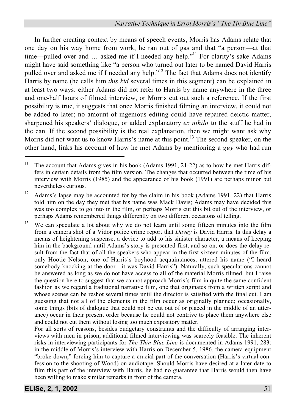In further creating context by means of speech events, Morris has Adams relate that one day on his way home from work, he ran out of gas and that "a person—at that time—pulled over and  $\ldots$  asked me if I needed any help."<sup>11</sup> For clarity's sake Adams might have said something like "a person who turned out later to be named David Harris pulled over and asked me if I needed any help."<sup>12</sup> The fact that Adams does not identify Harris by name (he calls him *this kid* several times in this segment) can be explained in at least two ways: either Adams did not refer to Harris by name anywhere in the three and one-half hours of filmed interview, or Morris cut out such a reference. If the first possibility is true, it suggests that once Morris finished filming an interview, it could not be added to later; no amount of ingenious editing could have repaired deictic matter, sharpened his speakers' dialogue, or added explanatory *ex nihilo* to the stuff he had in the can. If the second possibility is the real explanation, then we might want ask why Morris did not want us to know Harris's name at this point.<sup>13</sup> The second speaker, on the other hand, links his account of how he met Adams by mentioning a *guy* who had run

For all sorts of reasons, besides budgetary constraints and the difficulty of arranging interviews with men in prison, additional filmed interviewing was scarcely feasible. The inherent risks in interviewing participants for *The Thin Blue Line* is documented in Adams 1991, 283: in the middle of Morris's interview with Harris on December 5, 1986, the camera equipment "broke down," forcing him to capture a crucial part of the conversation (Harris's virtual confession to the shooting of Wood) on audiotape. Should Morris have desired at a later date to film this part of the interview with Harris, he had no guarantee that Harris would then have been willing to make similar remarks in front of the camera.

<sup>&</sup>lt;sup>11</sup> The account that Adams gives in his book (Adams 1991, 21-22) as to how he met Harris differs in certain details from the film version. The changes that occurred between the time of his interview with Morris (1985) and the appearance of his book (1991) are perhaps minor but nevertheless curious.

<sup>&</sup>lt;sup>12</sup> Adams's lapse may be accounted for by the claim in his book (Adams 1991, 22) that Harris told him on the day they met that his name was Mack Davis; Adams may have decided this was too complex to go into in the film, or perhaps Morris cut this bit out of the interview, or perhaps Adams remembered things differently on two different occasions of telling.

<sup>&</sup>lt;sup>13</sup> We can speculate a lot about why we do not learn until some fifteen minutes into the film from a camera shot of a Vidor police crime report that *Davey* is David Harris. Is this delay a means of heightening suspense, a device to add to his sinister character, a means of keeping him in the background until Adams's story is presented first, and so on, or does the delay result from the fact that of all the speakers who appear in the first sixteen minutes of the film, only Hootie Nelson, one of Harris's boyhood acquaintances, uttered his name ("I heard somebody knocking at the door—it was David Harris"). Naturally, such speculations cannot be answered as long as we do not have access to all of the material Morris filmed, but I raise the question here to suggest that we cannot approach Morris's film in quite the same confident fashion as we regard a traditional narrative film, one that originates from a written script and whose scenes can be reshot several times until the director is satisfied with the final cut. I am guessing that not all of the elements in the film occur as originally planned; occasionally, some things (bits of dialogue that could not be cut out of or placed in the middle of an utterance) occur in their present order because he could not contrive to place them anywhere else and could not cut them without losing too much expository matter.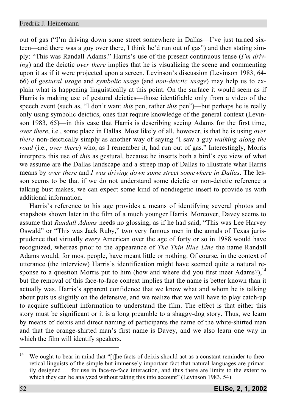out of gas ("I'm driving down some street somewhere in Dallas—I've just turned sixteen—and there was a guy over there, I think he'd run out of gas") and then stating simply: "This was Randall Adams." Harris's use of the present continuous tense (*I'm driving*) and the deictic *over there* implies that he is visualizing the scene and commenting upon it as if it were projected upon a screen. Levinson's discussion (Levinson 1983, 64- 66) of *gestural usage* and *symbolic usage* (and *non-deictic usage*) may help us to explain what is happening linguistically at this point. On the surface it would seem as if Harris is making use of gestural deictics—those identifiable only from a video of the speech event (such as, "I don't want *this* pen, rather *this* pen")—but perhaps he is really only using symbolic deictics, ones that require knowledge of the general context (Levinson 1983, 65)—in this case that Harris is describing seeing Adams for the first time, *over there*, i.e., some place in Dallas. Most likely of all, however, is that he is using *over there* non-deictically simply as another way of saying "I saw a guy *walking along the road* (i.e., *over there*) who, as I remember it, had run out of gas." Interestingly, Morris interprets this use of *this* as gestural, because he inserts both a bird's eye view of what we assume are the Dallas landscape and a streep map of Dallas to illustrate what Harris means by *over there* and *I was driving down some street somewhere in Dallas*. The lesson seems to be that if we do not understand some deictic or non-deictic reference a talking bust makes, we can expect some kind of nondiegetic insert to provide us with additional information.

Harris's reference to his age provides a means of identifying several photos and snapshots shown later in the film of a much younger Harris. Moreover, Davey seems to assume that *Randall Adams* needs no glossing, as if he had said, "This was Lee Harvey Oswald" or "This was Jack Ruby," two very famous men in the annals of Texas jurisprudence that virtually *every* American over the age of forty or so in 1988 would have recognized, whereas prior to the appearance of *The Thin Blue Line* the name Randall Adams would, for most people, have meant little or nothing. Of course, in the context of utterance (the interview) Harris's identification might have seemed quite a natural response to a question Morris put to him (how and where did you first meet Adams?), $14$ but the removal of this face-to-face context implies that the name is better known than it actually was. Harris's apparent confidence that we know what and whom he is talking about puts us slightly on the defensive, and we realize that we will have to play catch-up to acquire sufficient information to understand the film. The effect is that either this story must be significant or it is a long preamble to a shaggy-dog story. Thus, we learn by means of deixis and direct naming of participants the name of the white-shirted man and that the orange-shirted man's first name is Davey, and we also learn one way in which the film will identify speakers.

<sup>&</sup>lt;sup>14</sup> We ought to bear in mind that "[t]he facts of deixis should act as a constant reminder to theoretical linguists of the simple but immensely important fact that natural languages are primarily designed … for use in face-to-face interaction, and thus there are limits to the extent to which they can be analyzed without taking this into account" (Levinson 1983, 54).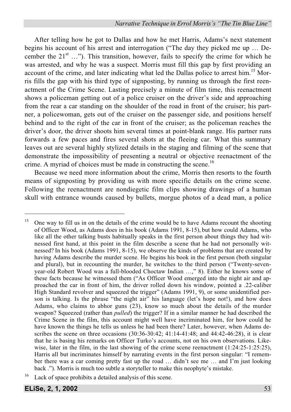After telling how he got to Dallas and how he met Harris, Adams's next statement begins his account of his arrest and interrogation ("The day they picked me up … December the  $21^{st}$  ..."). This transition, however, fails to specify the crime for which he was arrested, and why he was a suspect. Morris must fill this gap by first providing an account of the crime, and later indicating what led the Dallas police to arrest him.<sup>15</sup> Morris fills the gap with his third type of signposting, by running us through the first reenactment of the Crime Scene. Lasting precisely a minute of film time, this reenactment shows a policeman getting out of a police cruiser on the driver's side and approaching from the rear a car standing on the shoulder of the road in front of the cruiser; his partner, a policewoman, gets out of the cruiser on the passenger side, and positions herself behind and to the right of the car in front of the cruiser; as the policeman reaches the driver's door, the driver shoots him several times at point-blank range. His partner runs forwards a few paces and fires several shots at the fleeing car. What this summary leaves out are several highly stylized details in the staging and filming of the scene that demonstrate the impossibility of presenting a neutral or objective reenactment of the crime. A myriad of choices must be made in constructing the scene.<sup>16</sup>

Because we need more information about the crime, Morris then resorts to the fourth means of signposting by providing us with more specific details on the crime scene. Following the reenactment are nondiegetic film clips showing drawings of a human skull with entrance wounds caused by bullets, morgue photos of a dead man, a police

<sup>&</sup>lt;sup>15</sup> One way to fill us in on the details of the crime would be to have Adams recount the shooting of Officer Wood, as Adams does in his book (Adams 1991, 8-15), but how could Adams, who like all the other talking busts habitually speaks in the first person about things they had witnessed first hand, at this point in the film describe a scene that he had not personally witnessed? In his book (Adams 1991, 8-15), we observe the kinds of problems that are created by having Adams describe the murder scene. He begins his book in the first person (both singular and plural), but in recounting the murder, he switches to the third person ("Twenty-sevenyear-old Robert Wood was a full-blooded Choctaw Indian …," 8). Either he knows some of these facts because he witnessed them ("As Officer Wood emerged into the night air and approached the car in front of him, the driver rolled down his window, pointed a .22-caliber High Standard revolver and squeezed the trigger" (Adams 1991, 9), or some unidentified person is talking. Is the phrase "the night air" his language (let's hope not!), and how does Adams, who claims to abhor guns (23), know so much about the details of the murder weapon? Squeezed (rather than *pulled*) the trigger? If in a similar manner he had described the Crime Scene in the film, this account might well have incriminated him, for how could he have known the things he tells us unless he had been there? Later, however, when Adams describes the scene on three occasions (30:36-30:42; 41:14-41:48; and 44:42-46:28), it is clear that he is basing his remarks on Officer Turko's accounts, not on his own observations. Likewise, later in the film, in the last showing of the crime scene reenactment (1:24:25-1:25:25), Harris all but incriminates himself by narrating events in the first person singular: "I remember there was a car coming pretty fast up the road … didn't see me … and I'm just looking back ."). Morris is much too subtle a storyteller to make this neophyte's mistake.

Lack of space prohibits a detailed analysis of this scene.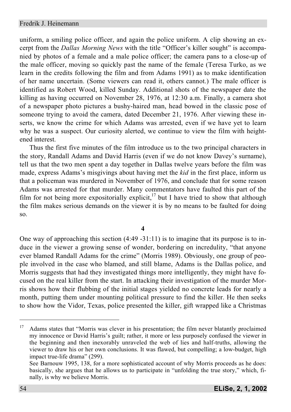uniform, a smiling police officer, and again the police uniform. A clip showing an excerpt from the *Dallas Morning News* with the title "Officer's killer sought" is accompanied by photos of a female and a male police officer; the camera pans to a close-up of the male officer, moving so quickly past the name of the female (Teresa Turko, as we learn in the credits following the film and from Adams 1991) as to make identification of her name uncertain. (Some viewers can read it, others cannot.) The male officer is identified as Robert Wood, killed Sunday. Additional shots of the newspaper date the killing as having occurred on November 28, 1976, at 12:30 a.m. Finally, a camera shot of a newspaper photo pictures a bushy-haired man, head bowed in the classic pose of someone trying to avoid the camera, dated December 21, 1976. After viewing these inserts, we know the crime for which Adams was arrested, even if we have yet to learn why he was a suspect. Our curiosity alerted, we continue to view the film with heightened interest.

Thus the first five minutes of the film introduce us to the two principal characters in the story, Randall Adams and David Harris (even if we do not know Davey's surname), tell us that the two men spent a day together in Dallas twelve years before the film was made, express Adams's misgivings about having met the *kid* in the first place, inform us that a policeman was murdered in November of 1976, and conclude that for some reason Adams was arrested for that murder. Many commentators have faulted this part of the film for not being more expositorially explicit, $17$  but I have tried to show that although the film makes serious demands on the viewer it is by no means to be faulted for doing so.

**4**

One way of approaching this section  $(4:49 - 31:11)$  is to imagine that its purpose is to induce in the viewer a growing sense of wonder, bordering on incredulity, "that anyone ever blamed Randall Adams for the crime" (Morris 1989). Obviously, one group of people involved in the case who blamed, and still blame, Adams is the Dallas police, and Morris suggests that had they investigated things more intelligently, they might have focused on the real killer from the start. In attacking their investigation of the murder Morris shows how their flubbing of the initial stages yielded no concrete leads for nearly a month, putting them under mounting political pressure to find the killer. He then seeks to show how the Vidor, Texas, police presented the killer, gift wrapped like a Christmas

<sup>&</sup>lt;sup>17</sup> Adams states that "Morris was clever in his presentation; the film never blatantly proclaimed my innocence or David Harris's guilt; rather, it more or less purposely confused the viewer in the beginning and then inexorably unraveled the web of lies and half-truths, allowing the viewer to draw his or her own conclusions. It was flawed, but compelling; a low-budget, high impact true-life drama" (299).

See Barnouw 1995, 138, for a more sophisticated account of why Morris proceeds as he does: basically, she argues that he allows us to participate in "unfolding the true story," which, finally, is why we believe Morris.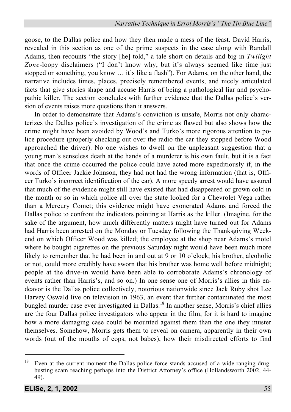goose, to the Dallas police and how they then made a mess of the feast. David Harris, revealed in this section as one of the prime suspects in the case along with Randall Adams, then recounts "the story [he] told," a tale short on details and big in *Twilight Zone*-loopy disclaimers ("I don't know why, but it's always seemed like time just stopped or something, you know … it's like a flash"). For Adams, on the other hand, the narrative includes times, places, precisely remembered events, and nicely articulated facts that give stories shape and accuse Harris of being a pathological liar and psychopathic killer. The section concludes with further evidence that the Dallas police's version of events raises more questions than it answers.

In order to demonstrate that Adams's conviction is unsafe, Morris not only characterizes the Dallas police's investigation of the crime as flawed but also shows how the crime might have been avoided by Wood's and Turko's more rigorous attention to police procedure (properly checking out over the radio the car they stopped before Wood approached the driver). No one wishes to dwell on the unpleasant suggestion that a young man's senseless death at the hands of a murderer is his own fault, but it is a fact that once the crime occurred the police could have acted more expeditiously if, in the words of Officer Jackie Johnson, they had not had the wrong information (that is, Officer Turko's incorrect identification of the car). A more speedy arrest would have assured that much of the evidence might still have existed that had disappeared or grown cold in the month or so in which police all over the state looked for a Chevrolet Vega rather than a Mercury Comet; this evidence might have exonerated Adams and forced the Dallas police to confront the indicators pointing at Harris as the killer. (Imagine, for the sake of the argument, how much differently matters might have turned out for Adams had Harris been arrested on the Monday or Tuesday following the Thanksgiving Weekend on which Officer Wood was killed; the employee at the shop near Adams's motel where he bought cigarettes on the previous Saturday night would have been much more likely to remember that he had been in and out at 9 or 10 o'clock; his brother, alcoholic or not, could more credibly have sworn that his brother was home well before midnight; people at the drive-in would have been able to corroborate Adams's chronology of events rather than Harris's, and so on.) In one sense one of Morris's allies in this endeavor is the Dallas police collectively, notorious nationwide since Jack Ruby shot Lee Harvey Oswald live on television in 1963, an event that further contaminated the most bungled murder case ever investigated in Dallas.<sup>18</sup> In another sense, Morris's chief allies are the four Dallas police investigators who appear in the film, for it is hard to imagine how a more damaging case could be mounted against them than the one they muster themselves. Somehow, Morris gets them to reveal on camera, apparently in their own words (out of the mouths of cops, not babes), how their misdirected efforts to find

<sup>&</sup>lt;sup>18</sup> Even at the current moment the Dallas police force stands accused of a wide-ranging drugbusting scam reaching perhaps into the District Attorney's office (Hollandsworth 2002, 44- 49).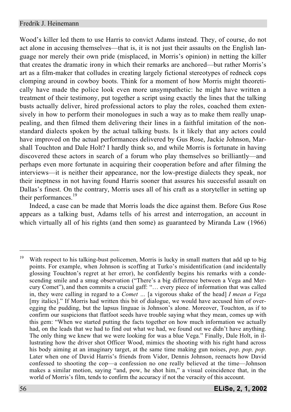Wood's killer led them to use Harris to convict Adams instead. They, of course, do not act alone in accusing themselves—that is, it is not just their assaults on the English language nor merely their own pride (misplaced, in Morris's opinion) in netting the killer that creates the dramatic irony in which their remarks are anchored—but rather Morris's art as a film-maker that colludes in creating largely fictional stereotypes of redneck cops clomping around in cowboy boots. Think for a moment of how Morris might theoretically have made the police look even more unsympathetic: he might have written a treatment of their testimony, put together a script using exactly the lines that the talking busts actually deliver, hired professional actors to play the roles, coached them extensively in how to perform their monologues in such a way as to make them really unappealing, and then filmed them delivering their lines in a faithful imitation of the nonstandard dialects spoken by the actual talking busts. Is it likely that any actors could have improved on the actual performances delivered by Gus Rose, Jackie Johnson, Marshall Touchton and Dale Holt? I hardly think so, and while Morris is fortunate in having discovered these actors in search of a forum who play themselves so brilliantly—and perhaps even more fortunate in acquiring their cooperation before and after filming the interviews—it is neither their appearance, nor the low-prestige dialects they speak, nor their ineptness in not having found Harris sooner that assures his successful assault on Dallas's finest. On the contrary, Morris uses all of his craft as a storyteller in setting up their performances.<sup>19</sup>

Indeed, a case can be made that Morris loads the dice against them. Before Gus Rose appears as a talking bust, Adams tells of his arrest and interrogation, an account in which virtually all of his rights (and then some) as guaranteed by Miranda Law (1966)

<sup>&</sup>lt;sup>19</sup> With respect to his talking-bust policemen, Morris is lucky in small matters that add up to big points. For example, when Johnson is scoffing at Turko's misidentification (and incidentally glossing Touchton's regret at her error), he confidently begins his remarks with a condescending smile and a smug observation ("There's a big difference between a Vega and Mercury Comet"), and then commits a crucial gaff: "… every piece of information that was called in, they were calling in regard to a *Comet …* [a vigorous shake of the head] *I mean a Vega* [my italics]." If Morris had written this bit of dialogue, we would have accused him of overegging the pudding, but the lapsus linguae is Johnson's alone. Moreover, Touchton, as if to confirm our suspicions that flatfoot seeds have trouble saying what they mean, comes up with this gem: "When we started putting the facts together on how much information we actually had, on the leads that we had to find out what we had, we found out we didn't have anything. The only thing we knew that we were looking for was a blue Vega." Finally, Dale Holt, in illustrating how the driver shot Officer Wood, mimics the shooting with his right hand across his body aiming at an imaginary target, at the same time making gun noises, *pop, pop, pop*. Later when one of David Harris's friends from Vidor, Dennis Johnson, reenacts how David confessed to shooting the cop—a confession no one really believed at the time—Johnson makes a similar motion, saying "and, pow, he shot him," a visual coincidence that, in the world of Morris's film, tends to confirm the accuracy if not the veracity of this account.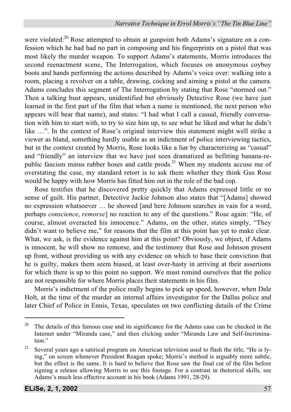were violated:<sup>20</sup> Rose attempted to obtain at gunpoint both Adams's signature on a confession which he had had no part in composing and his fingerprints on a pistol that was most likely the murder weapon. To support Adams's statements, Morris introduces the second reenactment scene, The Interrogation, which focuses on anonymous coyboy boots and hands performing the actions described by Adams's voice over: walking into a room, placing a revolver on a table, drawing, cocking and aiming a pistol at the camera. Adams concludes this segment of The Interrogation by stating that Rose "stormed out." Then a talking bust appears, unidentified but obviously Detective Rose (we have just learned in the first part of the film that when a name is mentioned, the next person who appears will bear that name), and states: "I had what I call a casual, friendly conversation with him to start with, to try to size him up, to see what he liked and what he didn't like …". In the context of Rose's original interview this statement might well strike a viewer as bland, something hardly usable as an indictment of police interviewing tactics, but in the context created by Morris, Rose looks like a liar by characterizing as "casual" and "friendly" an interview that we have just seen dramatized as befitting banana-republic fascism minus rubber hoses and cattle prods.<sup>21</sup> When my students accuse me of overstating the case, my standard retort is to ask them whether they think Gus Rose would be happy with how Morris has fitted him out in the role of the bad cop.

Rose testifies that he discovered pretty quickly that Adams expressed little or no sense of guilt. His partner, Detective Jackie Johnson also states that "[Adams] showed no expression whatsoever … he showed [and here Johnson searches in vain for a word, perhaps *conscience*, *remorse*] no reaction to any of the questions." Rose again: "He, of course, almost overacted his innocence." Adams, on the other, states simply, "They didn't want to believe me," for reasons that the film at this point has yet to make clear. What, we ask, is the evidence against him at this point? Obviously, we object, if Adams is innocent, he will show no remorse, and the testimony that Rose and Johnson present up front, without providing us with any evidence on which to base their conviction that he is guilty, makes them seem biased, at least over-hasty in arriving at their assertions for which there is up to this point no support. We must remind ourselves that the police are not responsible for where Morris places their statements in his film.

Morris's indictment of the police really begins to pick up speed, however, when Dale Holt, at the time of the murder an internal affairs investigator for the Dallas police and later Chief of Police in Ennis, Texas, speculates on two conflicting details of the Crime

 $20$  The details of this famous case and its significance for the Adams case can be checked in the Internet under "Miranda case," and then clicking under "Miranda Law and Self-Incrimination."

<sup>&</sup>lt;sup>21</sup> Several years ago a satirical program on American television used to flash the title, "He is lying," on screen whenever President Reagan spoke; Morris's method is arguably more subtle, but the effect is the same. It is hard to believe that Rose saw the final cut of the film before signing a release allowing Morris to use this footage. For a contrast in rhetorical skills, see Adams's much less effective account in his book (Adams 1991, 28-29).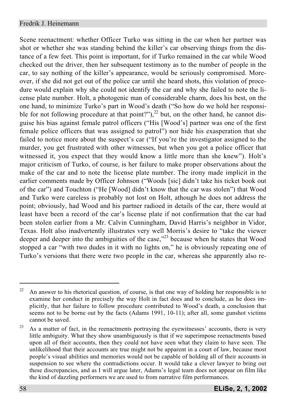Scene reenactment: whether Officer Turko was sitting in the car when her partner was shot or whether she was standing behind the killer's car observing things from the distance of a few feet. This point is important, for if Turko remained in the car while Wood checked out the driver, then her subsequent testimony as to the number of people in the car, to say nothing of the killer's appearance, would be seriously compromised. Moreover, if she did not get out of the police car until she heard shots, this violation of procedure would explain why she could not identify the car and why she failed to note the license plate number. Holt, a photogenic man of considerable charm, does his best, on the one hand, to minimize Turko's part in Wood's death ("So how do we hold her responsible for not following procedure at that point?"),<sup>22</sup> but, on the other hand, he cannot disguise his bias against female patrol officers ("His [Wood's] partner was one of the first female police officers that was assigned to patrol") nor hide his exasperation that she failed to notice more about the suspect's car ("If you're the investigator assigned to the murder, you get frustrated with other witnesses, but when you got a police officer that witnessed it, you expect that they would know a little more than she knew"). Holt's major criticism of Turko, of course, is her failure to make proper observations about the make of the car and to note the license plate number. The irony made implicit in the earlier comments made by Officer Johnson ("Woods [sic] didn't take his ticket book out of the car") and Touchton ("He [Wood] didn't know that the car was stolen") that Wood and Turko were careless is probably not lost on Holt, athough he does not address the point; obviously, had Wood and his partner radioed in details of the car, there would at least have been a record of the car's license plate if not confirmation that the car had been stolen earlier from a Mr. Calvin Cunningham, David Harris's neighbor in Vidor, Texas. Holt also inadvertently illustrates very well Morris's desire to "take the viewer deeper and deeper into the ambiguities of the case, $^{23}$  because when he states that Wood stopped a car "with two dudes in it with no lights on," he is obviously repeating one of Turko's versions that there were two people in the car, whereas she apparently also re-

 $22$  An answer to his rhetorical question, of course, is that one way of holding her responsible is to examine her conduct in precisely the way Holt in fact does and to conclude, as he does implicitly, that her failure to follow procedure contributed to Wood's death, a conclusion that seems not to be borne out by the facts (Adams 1991, 10-11); after all, some gunshot victims cannot be saved.

 $23$  As a matter of fact, in the reenactments portraying the eyewitnesses' accounts, there is very little ambiguity. What they show unambiguously is that if we superimpose reenactments based upon all of their accounts, then they could not have seen what they claim to have seen. The unlikelihood that their accounts are true might not be apparent in a court of law, because most people's visual abilities and memories would not be capable of holding all of their accounts in suspension to see where the contradictions occur. It would take a clever lawyer to bring out these discrepancies, and as I will argue later, Adams's legal team does not appear on film like the kind of dazzling performers we are used to from narrative film performances.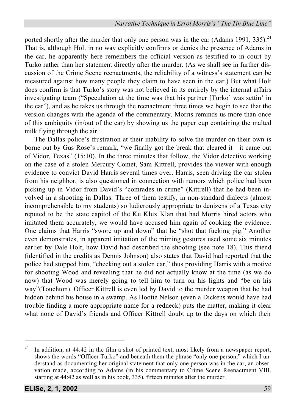ported shortly after the murder that only one person was in the car (Adams 1991, 335).<sup>24</sup> That is, although Holt in no way explicitly confirms or denies the presence of Adams in the car, he apparently here remembers the official version as testified to in court by Turko rather than her statement directly after the murder. (As we shall see in further discussion of the Crime Scene reenactments, the reliability of a witness's statement can be measured against how many people they claim to have seen in the car.) But what Holt does confirm is that Turko's story was not believed in its entirely by the internal affairs investigating team ("Speculation at the time was that his partner [Turko] was settin' in the car"), and as he takes us through the reenactment three times we begin to see that the version changes with the agenda of the commentary. Morris reminds us more than once of this ambiguity (in/out of the car) by showing us the paper cup containing the malted milk flying through the air.

The Dallas police's frustration at their inability to solve the murder on their own is borne out by Gus Rose's remark, "we finally got the break that cleared it—it came out of Vidor, Texas" (15:10). In the three minutes that follow, the Vidor detective working on the case of a stolen Mercury Comet, Sam Kittrell, provides the viewer with enough evidence to convict David Harris several times over. Harris, seen driving the car stolen from his neighbor, is also questioned in connection with rumors which police had been picking up in Vidor from David's "comrades in crime" (Kittrell) that he had been involved in a shooting in Dallas. Three of them testify, in non-standard dialects (almost incomprehensible to my students) so ludicrously appropriate to denizens of a Texas city reputed to be the state capitol of the Ku Klux Klan that had Morris hired actors who imitated them accurately, we would have accused him again of cooking the evidence. One claims that Harris "swore up and down" that he "shot that fucking pig." Another even demonstrates, in apparent imitation of the miming gestures used some six minutes earlier by Dale Holt, how David had described the shooting (see note 18). This friend (identified in the credits as Dennis Johnson) also states that David had reported that the police had stopped him, "checking out a stolen car," thus providing Harris with a motive for shooting Wood and revealing that he did not actually know at the time (as we do now) that Wood was merely going to tell him to turn on his lights and "be on his way"(Touchton). Officer Kittrell is even led by David to the murder weapon that he had hidden behind his house in a swamp. As Hootie Nelson (even a Dickens would have had trouble finding a more appropriate name for a redneck) puts the matter, making it clear what none of David's friends and Officer Kittrell doubt up to the days on which their

<sup>&</sup>lt;sup>24</sup> In addition, at 44:42 in the film a shot of printed text, most likely from a newspaper report, shows the words "Officer Turko" and beneath them the phrase "only one person," which I understand as documenting her original statement that only one person was in the car, an observation made, according to Adams (in his commentary to Crime Scene Reenactment VIII, starting at 44:42 as well as in his book, 335), fifteen minutes after the murder.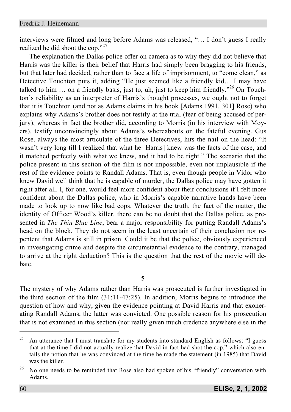interviews were filmed and long before Adams was released, "… I don't guess I really realized he did shoot the cop."<sup>25</sup>

The explanation the Dallas police offer on camera as to why they did not believe that Harris was the killer is their belief that Harris had simply been bragging to his friends, but that later had decided, rather than to face a life of imprisonment, to "come clean," as Detective Touchton puts it, adding "He just seemed like a friendly kid… I may have talked to him  $\ldots$  on a friendly basis, just to, uh, just to keep him friendly."<sup>26</sup> On Touchton's reliability as an interpreter of Harris's thought processes, we ought not to forget that it is Touchton (and not as Adams claims in his book [Adams 1991, 301] Rose) who explains why Adams's brother does not testify at the trial (fear of being accused of perjury), whereas in fact the brother did, according to Morris (in his interview with Moyers), testify unconvincingly about Adams's whereabouts on the fateful evening. Gus Rose, always the most articulate of the three Detectives, hits the nail on the head: "It wasn't very long till I realized that what he [Harris] knew was the facts of the case, and it matched perfectly with what we knew, and it had to be right." The scenario that the police present in this section of the film is not impossible, even not implausible if the rest of the evidence points to Randall Adams. That is, even though people in Vidor who knew David well think that he is capable of murder, the Dallas police may have gotten it right after all. I, for one, would feel more confident about their conclusions if I felt more confident about the Dallas police, who in Morris's capable narrative hands have been made to look up to now like bad cops. Whatever the truth, the fact of the matter, the identity of Officer Wood's killer, there can be no doubt that the Dallas police, as presented in *The Thin Blue Line*, bear a major responsibility for putting Randall Adams's head on the block. They do not seem in the least uncertain of their conclusion nor repentent that Adams is still in prison. Could it be that the police, obviously experienced in investigating crime and despite the circumstantial evidence to the contrary, managed to arrive at the right deduction? This is the question that the rest of the movie will debate.

**5**

The mystery of why Adams rather than Harris was prosecuted is further investigated in the third section of the film (31:11-47:25). In addition, Morris begins to introduce the question of how and why, given the evidence pointing at David Harris and that exonerating Randall Adams, the latter was convicted. One possible reason for his prosecution that is not examined in this section (nor really given much credence anywhere else in the

<sup>&</sup>lt;sup>25</sup> An utterance that I must translate for my students into standard English as follows: "I guess that at the time I did not actually realize that David in fact had shot the cop," which also entails the notion that he was convinced at the time he made the statement (in 1985) that David was the killer.

 $26$  No one needs to be reminded that Rose also had spoken of his "friendly" conversation with Adams.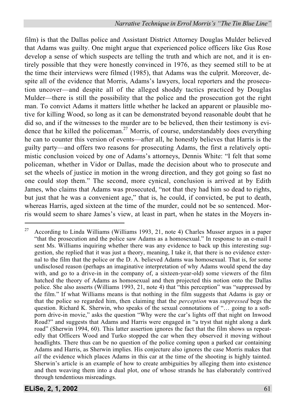film) is that the Dallas police and Assistant District Attorney Douglas Mulder believed that Adams was guilty. One might argue that experienced police officers like Gus Rose develop a sense of which suspects are telling the truth and which are not, and it is entirely possible that they were honestly convinced in 1976, as they seemed still to be at the time their interviews were filmed (1985), that Adams was the culprit. Moreover, despite all of the evidence that Morris, Adams's lawyers, local reporters and the prosecution uncover—and despite all of the alleged shoddy tactics practiced by Douglas Mulder—there is still the possibility that the police and the prosecution got the right man. To convict Adams it matters little whether he lacked an apparent or plausible motive for killing Wood, so long as it can be demonstrated beyond reasonable doubt that he did so, and if the witnesses to the murder are to be believed, then their testimony is evidence that he killed the policeman.<sup>27</sup> Morris, of course, understandably does everything he can to counter this version of events—after all, he honestly believes that Harris is the guilty party—and offers two reasons for prosecuting Adams, the first a relatively optimistic conclusion voiced by one of Adams's attorneys, Dennis White: "I felt that some policeman, whether in Vidor or Dallas, made the decision about who to prosecute and set the wheels of justice in motion in the wrong direction, and they got going so fast no one could stop them." The second, more cynical, conclusion is arrived at by Edith James, who claims that Adams was prosecuted, "not that they had him so dead to rights, but just that he was a convenient age," that is, he could, if convicted, be put to death, whereas Harris, aged sixteen at the time of the murder, could not be so sentenced. Morris would seem to share James's view, at least in part, when he states in the Moyers in-

 $27$  According to Linda Williams (Williams 1993, 21, note 4) Charles Musser argues in a paper "that the prosecution and the police saw Adams as a homosexual." In response to an e-mail I sent Ms. Williams inquiring whether there was any evidence to back up this interesting suggestion, she replied that it was just a theory, meaning, I take it, that there is no evidence external to the film that the police or the D. A. believed Adams was homosexual. That is, for some undisclosed reason (perhaps an imaginative interpretation of why Adams would spend the day with, and go to a drive-in in the company of, a sixteen-year-old) some viewers of the film hatched the theory of Adams as homosexual and then projected this notion onto the Dallas police. She also asserts (Williams 1993, 21, note 4) that "this perception" was "suppressed by the film." If what Williams means is that nothing in the film suggests that Adams is gay or that the police so regarded him, then claiming that the *perception* was *suppressed* begs the question. Richard K. Sherwin, who speaks of the sexual connotations of "… going to a softporn drive-in movie," asks the question "Why were the car's lights off that night on Inwood Road?" and suggests that Adams and Harris were engaged in "a tryst that night along a dark road" (Sherwin 1994, 60). This latter assertion ignores the fact that the film shows us repeatedly that Officers Wood and Turko stopped the car when they observed it moving without headlights. There thus can be no question of the police coming upon a parked car containing Adams and Harris, as Sherwin implies. His conjecture also ignores the case Morris makes that *all* the evidence which places Adams in this car at the time of the shooting is highly tainted. Sherwin's article is an example of how to create ambiguities by alleging them into existence and then weaving them into a dual plot, one of whose strands he has elaborately contrived through tendentious misreadings.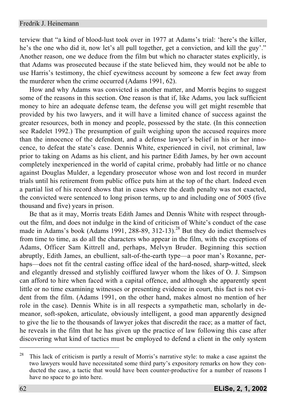terview that "a kind of blood-lust took over in 1977 at Adams's trial: 'here's the killer, he's the one who did it, now let's all pull together, get a conviction, and kill the guy'." Another reason, one we deduce from the film but which no character states explicitly, is that Adams was prosecuted because if the state believed him, they would not be able to use Harris's testimony, the chief eyewitness account by someone a few feet away from the murderer when the crime occurred (Adams 1991, 62).

How and why Adams was convicted is another matter, and Morris begins to suggest some of the reasons in this section. One reason is that if, like Adams, you lack sufficient money to hire an adequate defense team, the defense you will get might resemble that provided by his two lawyers, and it will have a limited chance of success against the greater resources, both in money and people, possessed by the state. (In this connection see Radelet 1992.) The presumption of guilt weighing upon the accused requires more than the innocence of the defendent, and a defense lawyer's belief in his or her innocence, to defeat the state's case. Dennis White, experienced in civil, not criminal, law prior to taking on Adams as his client, and his partner Edith James, by her own account completely inexperienced in the world of capital crime, probably had little or no chance against Douglas Mulder, a legendary prosecutor whose won and lost record in murder trials until his retirement from public office puts him at the top of the chart. Indeed even a partial list of his record shows that in cases where the death penalty was not exacted, the convicted were sentenced to long prison terms, up to and including one of 5005 (five thousand and five) years in prison.

Be that as it may, Morris treats Edith James and Dennis White with respect throughout the film, and does not indulge in the kind of criticism of White's conduct of the case made in Adams's book (Adams 1991, 288-89, 312-13).<sup>28</sup> But they do indict themselves from time to time, as do all the characters who appear in the film, with the exceptions of Adams, Officer Sam Kittrell and, perhaps, Melvyn Bruder. Beginning this section abruptly, Edith James, an ebullient, salt-of-the-earth type—a poor man's Roxanne, perhaps—does not fit the central casting office ideal of the hard-nosed, sharp-witted, sleek and elegantly dressed and stylishly coiffured lawyer whom the likes of O. J. Simpson can afford to hire when faced with a capital offence, and although she apparently spent little or no time examining witnesses or presenting evidence in court, this fact is not evident from the film. (Adams 1991, on the other hand, makes almost no mention of her role in the case). Dennis White is in all respects a sympathetic man, scholarly in demeanor, soft-spoken, articulate, obviously intelligent, a good man apparently designed to give the lie to the thousands of lawyer jokes that discredit the race; as a matter of fact, he reveals in the film that he has given up the practice of law following this case after discovering what kind of tactics must be employed to defend a client in the only system

<sup>&</sup>lt;sup>28</sup> This lack of criticism is partly a result of Morris's narrative style: to make a case against the two lawyers would have necessitated some third party's expository remarks on how they conducted the case, a tactic that would have been counter-productive for a number of reasons I have no space to go into here.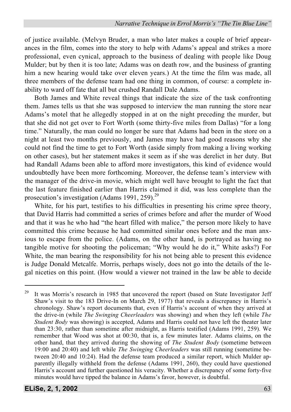of justice available. (Melvyn Bruder, a man who later makes a couple of brief appearances in the film, comes into the story to help with Adams's appeal and strikes a more professional, even cynical, approach to the business of dealing with people like Doug Mulder; but by then it is too late; Adams was on death row, and the business of granting him a new hearing would take over eleven years.) At the time the film was made, all three members of the defense team had one thing in common, of course: a complete inability to ward off fate that all but crushed Randall Dale Adams.

Both James and White reveal things that indicate the size of the task confronting them. James tells us that she was supposed to interview the man running the store near Adams's motel that he allegedly stopped in at on the night preceding the murder, but that she did not get over to Fort Worth (some thirty-five miles from Dallas) "for a long time." Naturally, the man could no longer be sure that Adams had been in the store on a night at least two months previously, and James may have had good reasons why she could not find the time to get to Fort Worth (aside simply from making a living working on other cases), but her statement makes it seem as if she was derelict in her duty. But had Randall Adams been able to afford more investigators, this kind of evidence would undoubtedly have been more forthcoming. Moreover, the defense team's interview with the manager of the drive-in movie, which might well have brought to light the fact that the last feature finished earlier than Harris claimed it did, was less complete than the prosecution's investigation (Adams 1991, 259). $^{29}$ 

White, for his part, testifies to his difficulties in presenting his crime spree theory, that David Harris had committed a series of crimes before and after the murder of Wood and that it was he who had "the heart filled with malice," the person more likely to have committed this crime because he had committed similar ones before and the man anxious to escape from the police. (Adams, on the other hand, is portrayed as having no tangible motive for shooting the policeman; "Why would he do it," White asks?) For White, the man bearing the responsibility for his not being able to present this evidence is Judge Donald Metcalfe. Morris, perhaps wisely, does not go into the details of the legal niceties on this point. (How would a viewer not trained in the law be able to decide

 $29$  It was Morris's research in 1985 that uncovered the report (based on State Investigator Jeff Shaw's visit to the 183 Drive-In on March 29, 1977) that reveals a discrepancy in Harris's chronology. Shaw's report documents that, even if Harris's account of when they arrived at the drive-in (while *The Swinging Cheerleaders* was showing) and when they left (while *The Student Body* was showing) is accepted, Adams and Harris could not have left the theater later than 23:30, rather than sometime after midnight, as Harris testified (Adams 1991, 259). We remember that Wood was shot at 00:30, that is, a few minutes later. Adams claims, on the other hand, that they arrived during the showing of *The Student Body* (sometime between 19:00 and 20:40) and left while *The Swinging Cheerleaders* was still running (sometime between 20:40 and 10:24). Had the defense team produced a similar report, which Mulder apparently illegally withheld from the defense (Adams 1991, 260), they could have questioned Harris's account and further questioned his veracity. Whether a discrepancy of some forty-five minutes would have tipped the balance in Adams's favor, however, is doubtful.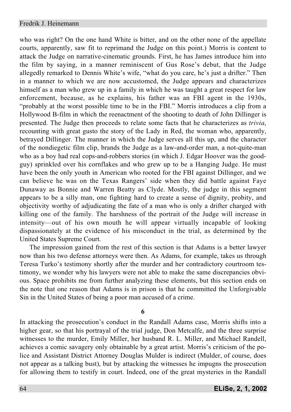who was right? On the one hand White is bitter, and on the other none of the appellate courts, apparently, saw fit to reprimand the Judge on this point.) Morris is content to attack the Judge on narrative-cinematic grounds. First, he has James introduce him into the film by saying, in a manner reminiscent of Gus Rose's debut, that the Judge allegedly remarked to Dennis White's wife, "what do you care, he's just a drifter." Then in a manner to which we are now accustomed, the Judge appears and characterizes himself as a man who grew up in a family in which he was taught a great respect for law enforcement, because, as he explains, his father was an FBI agent in the 1930s, "probably at the worst possible time to be in the FBI." Morris introduces a clip from a Hollywood B-film in which the reenactment of the shooting to death of John Dillinger is presented. The Judge then proceeds to relate some facts that he characterizes as *trivia*, recounting with great gusto the story of the Lady in Red, the woman who, apparently, betrayed Dillinger. The manner in which the Judge serves all this up, and the character of the nondiegetic film clip, brands the Judge as a law-and-order man, a not-quite-man who as a boy had real cops-and-robbers stories (in which J. Edgar Hoover was the goodguy) sprinkled over his cornflakes and who grew up to be a Hanging Judge. He must have been the only youth in American who rooted for the FBI against Dillinger, and we can believe he was on the Texas Rangers' side when they did battle against Faye Dunaway as Bonnie and Warren Beatty as Clyde. Mostly, the judge in this segment appears to be a silly man, one fighting hard to create a sense of dignity, probity, and objectivity worthy of adjudicating the fate of a man who is only a drifter charged with killing one of the family. The harshness of the portrait of the Judge will increase in intensity—out of his own mouth he will appear virtually incapable of looking dispassionately at the evidence of his misconduct in the trial, as determined by the United States Supreme Court.

The impression gained from the rest of this section is that Adams is a better lawyer now than his two defense attorneys were then. As Adams, for example, takes us through Teresa Turko's testimony shortly after the murder and her contradictory courtroom testimony, we wonder why his lawyers were not able to make the same discrepancies obvious. Space prohibits me from further analyzing these elements, but this section ends on the note that one reason that Adams is in prison is that he committed the Unforgivable Sin in the United States of being a poor man accused of a crime.

**6**

In attacking the prosecution's conduct in the Randall Adams case, Morris shifts into a higher gear, so that his portrayal of the trial judge, Don Metcalfe, and the three surprise witnesses to the murder, Emily Miller, her husband R. L. Miller, and Michael Randell, achieves a comic savagery only obtainable by a great artist. Morris's criticism of the police and Assistant District Attorney Douglas Mulder is indirect (Mulder, of course, does not appear as a talking bust), but by attacking the witnesses he impugns the prosecution for allowing them to testify in court. Indeed, one of the great mysteries in the Randall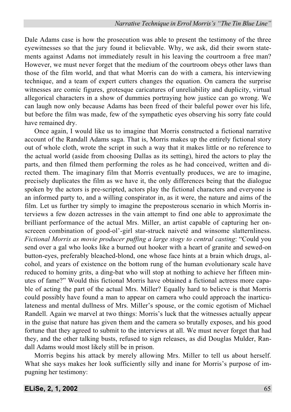Dale Adams case is how the prosecution was able to present the testimony of the three eyewitnesses so that the jury found it believable. Why, we ask, did their sworn statements against Adams not immediately result in his leaving the courtroom a free man? However, we must never forget that the medium of the courtroom obeys other laws than those of the film world, and that what Morris can do with a camera, his interviewing technique, and a team of expert cutters changes the equation. On camera the surprise witnesses are comic figures, grotesque caricatures of unreliability and duplicity, virtual allegorical characters in a show of dummies portraying how justice can go wrong. We can laugh now only because Adams has been freed of their baleful power over his life, but before the film was made, few of the sympathetic eyes observing his sorry fate could have remained dry.

Once again, I would like us to imagine that Morris constructed a fictional narrative account of the Randall Adams saga. That is, Morris makes up the entirely fictional story out of whole cloth, wrote the script in such a way that it makes little or no reference to the actual world (aside from choosing Dallas as its setting), hired the actors to play the parts, and then filmed them performing the roles as he had conceived, written and directed them. The imaginary film that Morris eventually produces, we are to imagine, precisely duplicates the film as we have it, the only differences being that the dialogue spoken by the actors is pre-scripted, actors play the fictional characters and everyone is an informed party to, and a willing conspirator in, as it were, the nature and aims of the film. Let us further try simply to imagine the preposterous scenario in which Morris interviews a few dozen actresses in the vain attempt to find one able to approximate the brilliant performance of the actual Mrs. Miller, an artist capable of capturing her onscreeen combination of good-ol'-girl star-struck naiveté and winsome slatternliness. *Fictional Morris as movie producer puffing a large stogy to central casting*: "Could you send over a gal who looks like a burned out hooker with a heart of granite and sewed-on button-eyes, preferably bleached-blond, one whose face hints at a brain which drugs, alcohol, and years of existence on the bottom rung of the human evolutionary scale have reduced to hominy grits, a ding-bat who will stop at nothing to achieve her fifteen minutes of fame?" Would this fictional Morris have obtained a fictional actress more capable of acting the part of the actual Mrs. Miller? Equally hard to believe is that Morris could possibly have found a man to appear on camera who could approach the inarticulateness and mental dullness of Mrs. Miller's spouse, or the comic egotism of Michael Randell. Again we marvel at two things: Morris's luck that the witnesses actually appear in the guise that nature has given them and the camera so brutally exposes, and his good fortune that they agreed to submit to the interviews at all. We must never forget that had they, and the other talking busts, refused to sign releases, as did Douglas Mulder, Randall Adams would most likely still be in prison.

Morris begins his attack by merely allowing Mrs. Miller to tell us about herself. What she says makes her look sufficiently silly and inane for Morris's purpose of impugning her testimony: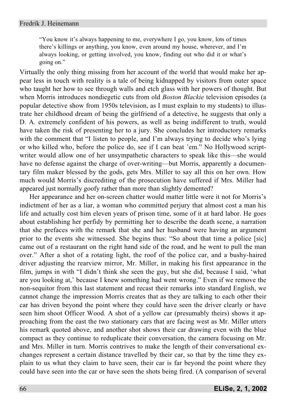"You know it's always happening to me, everywhere I go, you know, lots of times there's killings or anything, you know, even around my house, wherever, and I'm always looking, or getting involved, you know, finding out who did it or what's going on."

Virtually the only thing missing from her account of the world that would make her appear less in touch with reality is a tale of being kidnapped by visitors from outer space who taught her how to see through walls and etch glass with her powers of thought. But when Morris introduces nondiegetic cuts from old *Boston Blackie* television episodes (a popular detective show from 1950s television, as I must explain to my students) to illustrate her childhood dream of being the girlfriend of a detective, he suggests that only a D. A. extremely confident of his powers, as well as being indifferent to truth, would have taken the risk of presenting her to a jury. She concludes her introductory remarks with the comment that "I listen to people, and I'm always trying to decide who's lying or who killed who, before the police do, see if I can beat 'em." No Hollywood scriptwriter would allow one of her unsympathetic characters to speak like this—she would have no defense against the charge of over-writing—but Morris, apparently a documentary film maker blessed by the gods, gets Mrs. Miller to say all this on her own. How much would Morris's discrediting of the prosecution have suffered if Mrs. Miller had appeared just normally goofy rather than more than slightly demented?

Her appearance and her on-screen chatter would matter little were it not for Morris's indictment of her as a liar, a woman who committed perjury that almost cost a man his life and actually cost him eleven years of prison time, some of it at hard labor. He goes about establishing her perfidy by permitting her to describe the death scene, a narration that she prefaces with the remark that she and her husband were having an argument prior to the events she witnessed. She begins thus: "So about that time a police [sic] came out of a restaurant on the right hand side of the road, and he went to pull the man over." After a shot of a rotating light, the roof of the police car, and a bushy-haired driver adjusting the rearview mirror, Mr. Miller, in making his first appearance in the film, jumps in with "I didn't think she seen the guy, but she did, because I said, 'what are you looking at,' because I knew something had went wrong." Even if we remove the non-sequitor from this last statement and recast their remarks into standard English, we cannot change the impression Morris creates that as they are talking to each other their car has driven beyond the point where they could have seen the driver clearly or have seen him shoot Officer Wood. A shot of a yellow car (presumably theirs) shows it approaching from the east the two stationary cars that are facing west as Mr. Miller utters his remark quoted above, and another shot shows their car drawing even with the blue compact as they continue to reduplicate their conversation, the camera focusing on Mr. and Mrs. Miller in turn. Morris contrives to make the length of their conversational exchanges represent a certain distance travelled by their car, so that by the time they explain to us what they claim to have seen, their car is far beyond the point where they could have seen into the car or have seen the shots being fired. (A comparison of several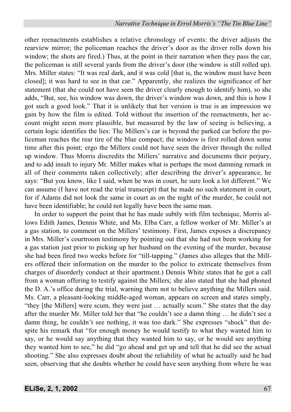other reenactments establishes a relative chronology of events: the driver adjusts the rearview mirror; the policeman reaches the driver's door as the driver rolls down his window; the shots are fired.) Thus, at the point in their narration when they pass the car, the policeman is still several yards from the driver's door (the window is still rolled up). Mrs. Miller states: "It was real dark, and it was cold [that is, the window must have been closed]; it was hard to see in that car." Apparently, she realizes the significance of her statement (that she could not have seen the driver clearly enough to identify him), so she adds, "But, see, his window was down, the driver's window was down, and this is how I got such a good look." That it is unlikely that her version is true is an impression we gain by how the film is edited. Told without the insertion of the reenactments, her account might seem more plausible, but measured by the law of seeing is believing, a certain logic identifies the lies: The Millers's car is beyond the parked car before the policeman reaches the rear tire of the blue compact; the window is first rolled down some time after this point; ergo the Millers could not have seen the driver through the rolled up window. Thus Morris discredits the Millers' narrative and documents their perjury, and to add insult to injury Mr. Miller makes what is perhaps the most damning remark in all of their comments taken collectively; after describing the driver's appearance, he says: "But you know, like I said, when he was in court, he sure look a lot different." We can assume (I have not read the trial transcript) that he made no such statement in court, for if Adams did not look the same in court as on the night of the murder, he could not have been identifiable; he could not legally have been the same man.

In order to support the point that he has made subtly with film technique, Morris allows Edith James, Dennis White, and Ms. Elba Carr, a fellow worker of Mr. Miller's at a gas station, to comment on the Millers' testimony. First, James exposes a discrepancy in Mrs. Miller's courtroom testimony by pointing out that she had not been working for a gas station just prior to picking up her husband on the evening of the murder, because she had been fired two weeks before for "till-tapping." (James also alleges that the Millers offered their information on the murder to the police to extricate themselves from charges of disorderly conduct at their apartment.) Dennis White states that he got a call from a woman offering to testify against the Millers; she also stated that she had phoned the D. A.'s office during the trial, warning them not to believe anything the Millers said. Ms. Carr, a pleasant-looking middle-aged woman, appears on screen and states simply, "they [the Millers] were scum, they were just … actually scum." She states that the day after the murder Mr. Miller told her that "he couldn't see a damn thing … he didn't see a damn thing, he couldn't see nothing, it was too dark." She expresses "shock" that despite his remark that "for enough money he would testify to what they wanted him to say, or he would say anything that they wanted him to say, or he would see anything they wanted him to see," he did "go ahead and get up and tell that he did see the actual shooting." She also expresses doubt about the reliability of what he actually said he had seen, observing that she doubts whether he could have seen anything from where he was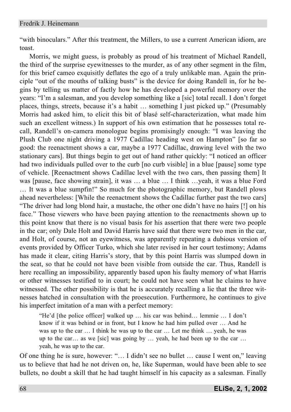"with binoculars." After this treatment, the Millers, to use a current American idiom, are toast.

Morris, we might guess, is probably as proud of his treatment of Michael Randell, the third of the surprise eyewitnesses to the murder, as of any other segment in the film, for this brief cameo exquisitly deflates the ego of a truly unlikable man. Again the principle "out of the mouths of talking busts" is the device for doing Randell in, for he begins by telling us matter of factly how he has developed a powerful memory over the years: "I'm a salesman, and you develop something like a [sic] total recall. I don't forget places, things, streets, because it's a habit … something I just picked up." (Presumably Morris had asked him, to elicit this bit of blasé self-characterization, what made him such an excellent witness.) In support of his own estimation that he possesses total recall, Randell's on-camera monologue begins promisingly enough: "I was leaving the Plush Club one night driving a 1977 Cadillac heading west on Hampton" [so far so good: the reenactment shows a car, maybe a 1977 Cadillac, drawing level with the two stationary cars]. But things begin to get out of hand rather quickly: "I noticed an officer had two individuals pulled over to the curb [no curb visible] in a blue [pause] some type of vehicle. [Reenactment shows Cadillac level with the two cars, then passing them] It was [pause, face showing strain], it was … a blue … I think …yeah, it was a blue Ford … It was a blue sumpfin!" So much for the photographic memory, but Randell plows ahead nevertheless: [While the reenactment shows the Cadillac further past the two cars] "The driver had long blond hair, a mustache, the other one didn't have no hairs [!] on his face." Those viewers who have been paying attention to the reenactments shown up to this point know that there is no visual basis for his assertion that there were two people in the car; only Dale Holt and David Harris have said that there were two men in the car, and Holt, of course, not an eyewitness, was apparently repeating a dubious version of events provided by Officer Turko, which she later revised in her court testimony; Adams has made it clear, citing Harris's story, that by this point Harris was slumped down in the seat, so that he could not have been visible from outside the car. Thus, Randell is here recalling an impossibility, apparently based upon his faulty memory of what Harris or other witnesses testified to in court; he could not have seen what he claims to have witnessed. The other possibility is that he is accurately recalling a lie that the three witnesses hatched in consultation with the proesecution. Furthermore, he continues to give his imperfect imitation of a man with a perfect memory:

"He'd [the police officer] walked up … his car was behind… lemmie … I don't know if it was behind or in front, but I know he had him pulled over … And he was up to the car … I think he was up to the car … Let me think … yeah, he was up to the car… as we [sic] was going by … yeah, he had been up to the car … yeah, he was up to the car.

Of one thing he is sure, however: "… I didn't see no bullet … cause I went on," leaving us to believe that had he not driven on, he, like Superman, would have been able to see bullets, no doubt a skill that he had taught himself in his capacity as a salesman. Finally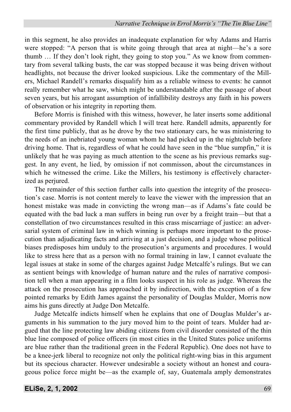in this segment, he also provides an inadequate explanation for why Adams and Harris were stopped: "A person that is white going through that area at night—he's a sore thumb … If they don't look right, they going to stop you." As we know from commentary from several talking busts, the car was stopped because it was being driven without headlights, not because the driver looked suspicious. Like the commentary of the Millers, Michael Randell's remarks disqualify him as a reliable witness to events: he cannot really remember what he saw, which might be understandable after the passage of about seven years, but his arrogant assumption of infallibility destroys any faith in his powers of observation or his integrity in reporting them.

Before Morris is finished with this witness, however, he later inserts some additional commentary provided by Randell which I will treat here. Randell admits, apparently for the first time publicly, that as he drove by the two stationary cars, he was ministering to the needs of an inebriated young woman whom he had picked up in the nightclub before driving home. That is, regardless of what he could have seen in the "blue sumpfin," it is unlikely that he was paying as much attention to the scene as his previous remarks suggest. In any event, he lied, by omission if not commisson, about the circumstances in which he witnessed the crime. Like the Millers, his testimony is effectively characterized as periured.

The remainder of this section further calls into question the integrity of the prosecution's case. Morris is not content merely to leave the viewer with the impression that an honest mistake was made in convicting the wrong man—as if Adams's fate could be equated with the bad luck a man suffers in being run over by a freight train—but that a constellation of two circumstances resulted in this crass miscarriage of justice: an adversarial system of criminal law in which winning is perhaps more important to the prosecution than adjudicating facts and arriving at a just decision, and a judge whose political biases predisposes him unduly to the prosecution's arguments and procedures. I would like to stress here that as a person with no formal training in law, I cannot evaluate the legal issues at stake in some of the charges against Judge Metcalfe's rulings. But we can as sentient beings with knowledge of human nature and the rules of narrative composition tell when a man appearing in a film looks suspect in his role as judge. Whereas the attack on the prosecution has approached it by indirection, with the exception of a few pointed remarks by Edith James against the personality of Douglas Mulder, Morris now aims his guns directly at Judge Don Metcalfe.

Judge Metcalfe indicts himself when he explains that one of Douglas Mulder's arguments in his summation to the jury moved him to the point of tears. Mulder had argued that the line protecting law abiding citizens from civil disorder consisted of the thin blue line composed of police officers (in most cities in the United States police uniforms are blue rather than the traditional green in the Federal Republic). One does not have to be a knee-jerk liberal to recognize not only the political right-wing bias in this argument but its specious character. However undesirable a society without an honest and courageous police force might be—as the example of, say, Guatemala amply demonstrates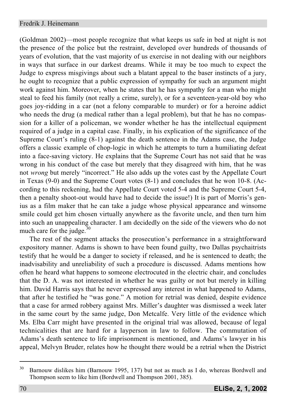(Goldman 2002)—most people recognize that what keeps us safe in bed at night is not the presence of the police but the restraint, developed over hundreds of thousands of years of evolution, that the vast majority of us exercise in not dealing with our neighbors in ways that surface in our darkest dreams. While it may be too much to expect the Judge to express misgivings about such a blatant appeal to the baser instincts of a jury, he ought to recognize that a public expression of sympathy for such an argument might work against him. Moreover, when he states that he has sympathy for a man who might steal to feed his family (not really a crime, surely), or for a seventeen-year-old boy who goes joy-ridding in a car (not a felony comparable to murder) or for a heroine addict who needs the drug (a medical rather than a legal problem), but that he has no compassion for a killer of a policeman, we wonder whether he has the intellectual equipment required of a judge in a capital case. Finally, in his explication of the significance of the Supreme Court's ruling (8-1) against the death sentence in the Adams case, the Judge offers a classic example of chop-logic in which he attempts to turn a humiliating defeat into a face-saving victory. He explains that the Supreme Court has not said that he was wrong in his conduct of the case but merely that they disagreed with him, that he was not *wrong* but merely "incorrect." He also adds up the votes cast by the Appellate Court in Texas (9-0) and the Supreme Court votes (8-1) and concludes that he won 10-8. (According to this reckening, had the Appellate Court voted 5-4 and the Supreme Court 5-4, then a penalty shoot-out would have had to decide the issue!) It is part of Morris's genius as a film maker that he can take a judge whose physical appearance and winsome smile could get him chosen virtually anywhere as the favorite uncle, and then turn him into such an unappealing character. I am decidedly on the side of the viewers who do not much care for the judge. $30$ 

The rest of the segment attacks the prosecution's performance in a straightforward expository manner. Adams is shown to have been found guilty, two Dallas psychaitrists testify that he would be a danger to society if released, and he is sentenced to death; the inadvisability and unreliability of such a procedure is discussed. Adams mentions how often he heard what happens to someone electrocuted in the electric chair, and concludes that the D. A. was not interested in whether he was guilty or not but merely in killing him. David Harris says that he never expressed any interest in what happened to Adams, that after he testified he "was gone." A motion for retrial was denied, despite evidence that a case for armed robbery against Mrs. Miller's daughter was dismissed a week later in the same court by the same judge, Don Metcalfe. Very little of the evidence which Ms. Elba Carr might have presented in the original trial was allowed, because of legal technicalities that are hard for a layperson in law to follow. The commutation of Adams's death sentence to life imprisonment is mentioned, and Adams's lawyer in his appeal, Melvyn Bruder, relates how he thought there would be a retrial when the District

<sup>&</sup>lt;sup>30</sup> Barnouw dislikes him (Barnouw 1995, 137) but not as much as I do, whereas Bordwell and Thompson seem to like him (Bordwell and Thompson 2001, 385).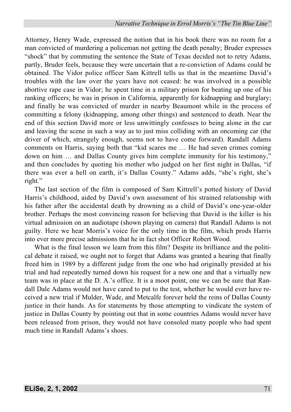Attorney, Henry Wade, expressed the notion that in his book there was no room for a man convicted of murdering a policeman not getting the death penalty; Bruder expresses "shock" that by commuting the sentence the State of Texas decided not to retry Adams, partly, Bruder feels, because they were uncertain that a re-conviction of Adams could be obtained. The Vidor police officer Sam Kittrell tells us that in the meantime David's troubles with the law over the years have not ceased: he was involved in a possible abortive rape case in Vidor; he spent time in a military prison for beating up one of his ranking officers; he was in prison in California, apparently for kidnapping and burglary; and finally he was convicted of murder in nearby Beaumont while in the process of committing a felony (kidnapping, among other things) and sentenced to death. Near the end of this section David more or less unwittingly confesses to being alone in the car and leaving the scene in such a way as to just miss colliding with an oncoming car (the driver of which, strangely enough, seems not to have come forward). Randall Adams comments on Harris, saying both that "kid scares me … He had seven crimes coming down on him … and Dallas County gives him complete immunity for his testimony," and then concludes by quoting his mother who judged on her first night in Dallas, "if there was ever a hell on earth, it's Dallas County." Adams adds, "she's right, she's right."

The last section of the film is composed of Sam Kittrell's potted history of David Harris's childhood, aided by David's own assessment of his strained relationship with his father after the accidental death by drowning as a child of David's one-year-older brother. Perhaps the most convincing reason for believing that David is the killer is his virtual admission on an audiotape (shown playing on camera) that Randall Adams is not guilty. Here we hear Morris's voice for the only time in the film, which prods Harris into ever more precise admissions that he in fact shot Officer Robert Wood.

What is the final lesson we learn from this film? Despite its brilliance and the political debate it raised, we ought not to forget that Adams was granted a hearing that finally freed him in 1989 by a different judge from the one who had originally presided at his trial and had repeatedly turned down his request for a new one and that a virtually new team was in place at the D. A.'s office. It is a moot point, one we can be sure that Randall Dale Adams would not have cared to put to the test, whether he would ever have received a new trial if Mulder, Wade, and Metcalfe forever held the reins of Dallas County justice in their hands. As for statements by those attempting to vindicate the system of justice in Dallas County by pointing out that in some countries Adams would never have been released from prison, they would not have consoled many people who had spent much time in Randall Adams's shoes.